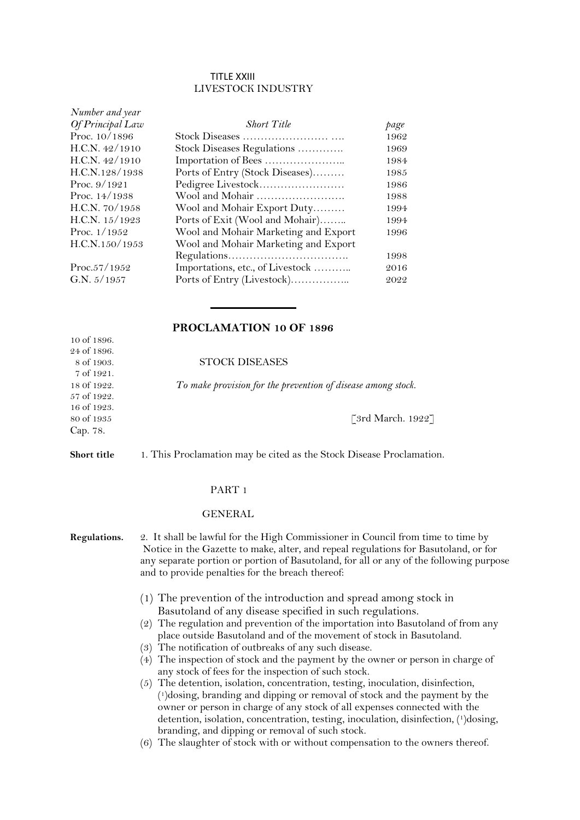#### TITLE XXIII LIVESTOCK INDUSTRY

| Number and year  |                                      |      |
|------------------|--------------------------------------|------|
| Of Principal Law | <b>Short Title</b>                   | page |
| Proc. $10/1896$  |                                      | 1962 |
| H.C.N. $42/1910$ | Stock Diseases Regulations           | 1969 |
| H.C.N. $42/1910$ |                                      | 1984 |
| H.C.N.128/1938   | Ports of Entry (Stock Diseases)      | 1985 |
| Proc. $9/1921$   | Pedigree Livestock                   | 1986 |
| Proc. $14/1938$  | Wool and Mohair                      | 1988 |
| H.C.N. 70/1958   | Wool and Mohair Export Duty          | 1994 |
| H.C.N. $15/1923$ | Ports of Exit (Wool and Mohair)      | 1994 |
| Proc. $1/1952$   | Wool and Mohair Marketing and Export | 1996 |
| H.C.N.150/1953   | Wool and Mohair Marketing and Export |      |
|                  |                                      | 1998 |
| Proc.57/1952     | Importations, etc., of Livestock     | 2016 |
| G.N. $5/1957$    | Ports of Entry (Livestock)           | 2022 |
|                  |                                      |      |

# **PROCLAMATION 10 OF 1896**

 $\frac{1}{2}$ 

18 0f 1922. *To make provision for the prevention of disease among stock.*

80 of 1935 [3rd March. 1922]

**Short title** 1. This Proclamation may be cited as the Stock Disease Proclamation.

#### PART 1

#### GENERAL

**Regulations.** 2. It shall be lawful for the High Commissioner in Council from time to time by Notice in the Gazette to make, alter, and repeal regulations for Basutoland, or for any separate portion or portion of Basutoland, for all or any of the following purpose and to provide penalties for the breach thereof:

- (1) The prevention of the introduction and spread among stock in Basutoland of any disease specified in such regulations.
- (2) The regulation and prevention of the importation into Basutoland of from any place outside Basutoland and of the movement of stock in Basutoland.
- (3) The notification of outbreaks of any such disease.
- (4) The inspection of stock and the payment by the owner or person in charge of any stock of fees for the inspection of such stock.
- (5) The detention, isolation, concentration, testing, inoculation, disinfection, ( <sup>1</sup>)dosing, branding and dipping or removal of stock and the payment by the owner or person in charge of any stock of all expenses connected with the detention, isolation, concentration, testing, inoculation, disinfection, (1)dosing, branding, and dipping or removal of such stock.
- (6) The slaughter of stock with or without compensation to the owners thereof.

10 of 1896. 24 of 1896. 8 of 1903. 7 of 1921. 57 of 1922. 16 of 1923. Cap. 78.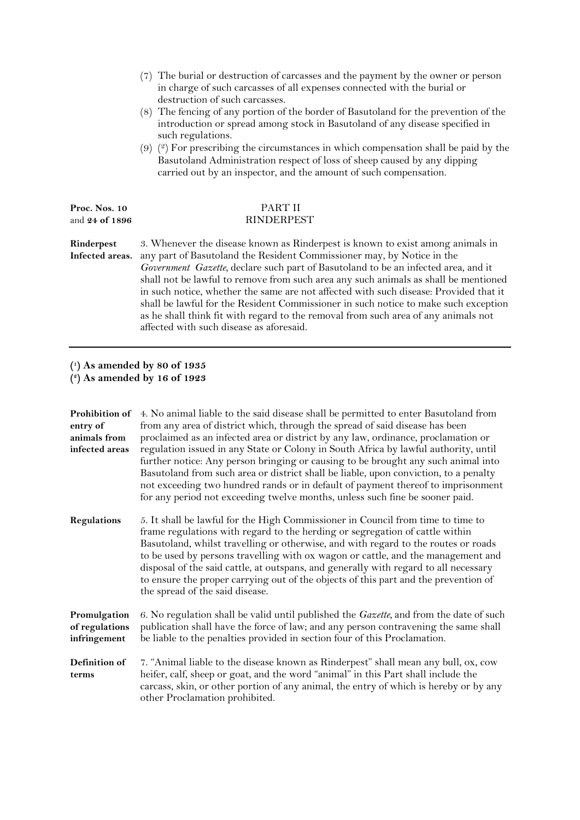|                                        | The burial or destruction of carcasses and the payment by the owner or person<br>(7)<br>in charge of such carcasses of all expenses connected with the burial or<br>destruction of such carcasses.<br>(8) The fencing of any portion of the border of Basutoland for the prevention of the<br>introduction or spread among stock in Basutoland of any disease specified in<br>such regulations.<br>$(9)$ ( $(2)$ ) For prescribing the circumstances in which compensation shall be paid by the<br>Basutoland Administration respect of loss of sheep caused by any dipping<br>carried out by an inspector, and the amount of such compensation.        |
|----------------------------------------|---------------------------------------------------------------------------------------------------------------------------------------------------------------------------------------------------------------------------------------------------------------------------------------------------------------------------------------------------------------------------------------------------------------------------------------------------------------------------------------------------------------------------------------------------------------------------------------------------------------------------------------------------------|
| Proc. Nos. 10<br>and <b>24 of 1896</b> | PART II<br>RINDERPEST                                                                                                                                                                                                                                                                                                                                                                                                                                                                                                                                                                                                                                   |
| Rinderpest<br>Infected areas.          | 3. Whenever the disease known as Rinderpest is known to exist among animals in<br>any part of Basutoland the Resident Commissioner may, by Notice in the<br>Government Gazette, declare such part of Basutoland to be an infected area, and it<br>shall not be lawful to remove from such area any such animals as shall be mentioned<br>in such notice, whether the same are not affected with such disease: Provided that it<br>shall be lawful for the Resident Commissioner in such notice to make such exception<br>as he shall think fit with regard to the removal from such area of any animals not<br>affected with such disease as aforesaid. |

## **( 1 ) As amended by 80 of 1935 ( 2 ) As amended by 16 of 1923**

| Prohibition of<br>entry of<br>animals from<br>infected areas | 4. No animal liable to the said disease shall be permitted to enter Basutoland from<br>from any area of district which, through the spread of said disease has been<br>proclaimed as an infected area or district by any law, ordinance, proclamation or<br>regulation issued in any State or Colony in South Africa by lawful authority, until<br>further notice: Any person bringing or causing to be brought any such animal into<br>Basutoland from such area or district shall be liable, upon conviction, to a penalty<br>not exceeding two hundred rands or in default of payment thereof to imprisonment<br>for any period not exceeding twelve months, unless such fine be sooner paid. |
|--------------------------------------------------------------|--------------------------------------------------------------------------------------------------------------------------------------------------------------------------------------------------------------------------------------------------------------------------------------------------------------------------------------------------------------------------------------------------------------------------------------------------------------------------------------------------------------------------------------------------------------------------------------------------------------------------------------------------------------------------------------------------|
| Regulations                                                  | 5. It shall be lawful for the High Commissioner in Council from time to time to<br>frame regulations with regard to the herding or segregation of cattle within<br>Basutoland, whilst travelling or otherwise, and with regard to the routes or roads<br>to be used by persons travelling with ox wagon or cattle, and the management and<br>disposal of the said cattle, at outspans, and generally with regard to all necessary<br>to ensure the proper carrying out of the objects of this part and the prevention of<br>the spread of the said disease.                                                                                                                                      |
| Promulgation<br>of regulations<br>infringement               | 6. No regulation shall be valid until published the $Gazette$ , and from the date of such<br>publication shall have the force of law; and any person contravening the same shall<br>be liable to the penalties provided in section four of this Proclamation.                                                                                                                                                                                                                                                                                                                                                                                                                                    |
| Definition of<br>terms                                       | 7. "Animal liable to the disease known as Rinderpest" shall mean any bull, ox, cow<br>heifer, calf, sheep or goat, and the word "animal" in this Part shall include the<br>carcass, skin, or other portion of any animal, the entry of which is hereby or by any<br>other Proclamation prohibited.                                                                                                                                                                                                                                                                                                                                                                                               |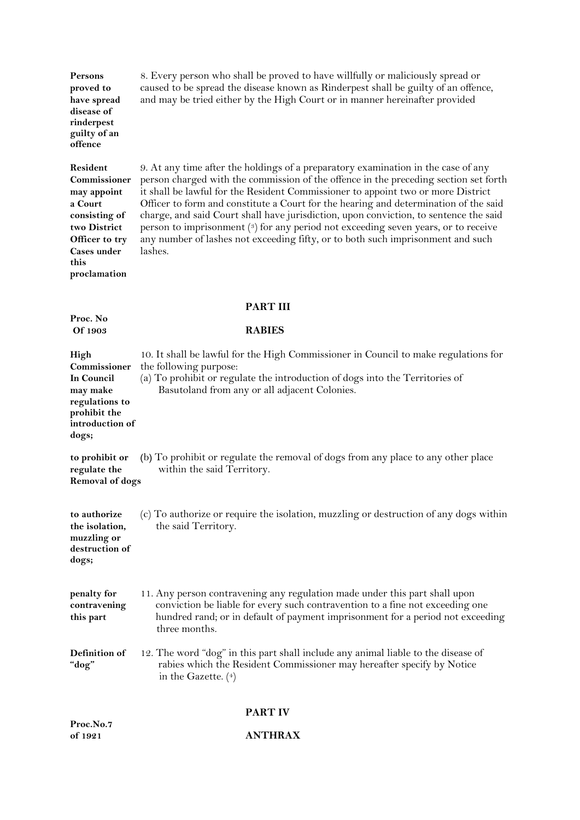| Persons<br>proved to<br>have spread<br>disease of<br>rinderpest<br>guilty of an<br>offence                                                          | 8. Every person who shall be proved to have willfully or maliciously spread or<br>caused to be spread the disease known as Rinderpest shall be guilty of an offence,<br>and may be tried either by the High Court or in manner hereinafter provided                                                                                                                                                                                                                                                                                                                                                                                |
|-----------------------------------------------------------------------------------------------------------------------------------------------------|------------------------------------------------------------------------------------------------------------------------------------------------------------------------------------------------------------------------------------------------------------------------------------------------------------------------------------------------------------------------------------------------------------------------------------------------------------------------------------------------------------------------------------------------------------------------------------------------------------------------------------|
| Resident<br>Commissioner<br>may appoint<br>a Court<br>consisting of<br>two District<br>Officer to try<br><b>Cases under</b><br>this<br>proclamation | 9. At any time after the holdings of a preparatory examination in the case of any<br>person charged with the commission of the offence in the preceding section set forth<br>it shall be lawful for the Resident Commissioner to appoint two or more District<br>Officer to form and constitute a Court for the hearing and determination of the said<br>charge, and said Court shall have jurisdiction, upon conviction, to sentence the said<br>person to imprisonment (3) for any period not exceeding seven years, or to receive<br>any number of lashes not exceeding fifty, or to both such imprisonment and such<br>lashes. |
| <b>PART III</b>                                                                                                                                     |                                                                                                                                                                                                                                                                                                                                                                                                                                                                                                                                                                                                                                    |
| Proc. No<br>Of 1903                                                                                                                                 | <b>RABIES</b>                                                                                                                                                                                                                                                                                                                                                                                                                                                                                                                                                                                                                      |
| High<br>Commissioner<br>In Council<br>may make<br>regulations to<br>prohibit the<br>introduction of<br>dogs;                                        | 10. It shall be lawful for the High Commissioner in Council to make regulations for<br>the following purpose:<br>(a) To prohibit or regulate the introduction of dogs into the Territories of<br>Basutoland from any or all adjacent Colonies.                                                                                                                                                                                                                                                                                                                                                                                     |
| to prohibit or<br>regulate the<br><b>Removal of dogs</b>                                                                                            | (b) To prohibit or regulate the removal of dogs from any place to any other place<br>within the said Territory.                                                                                                                                                                                                                                                                                                                                                                                                                                                                                                                    |
| to authorize<br>the isolation,<br>muzzling or<br>destruction of<br>dogs;                                                                            | (c) To authorize or require the isolation, muzzling or destruction of any dogs within<br>the said Territory.                                                                                                                                                                                                                                                                                                                                                                                                                                                                                                                       |
| penalty for<br>contravening<br>this part                                                                                                            | 11. Any person contravening any regulation made under this part shall upon<br>conviction be liable for every such contravention to a fine not exceeding one<br>hundred rand; or in default of payment imprisonment for a period not exceeding<br>three months.                                                                                                                                                                                                                                                                                                                                                                     |
| Definition of<br>"dog"                                                                                                                              | 12. The word "dog" in this part shall include any animal liable to the disease of<br>rabies which the Resident Commissioner may hereafter specify by Notice<br>in the Gazette. $(4)$                                                                                                                                                                                                                                                                                                                                                                                                                                               |
|                                                                                                                                                     | <b>PART IV</b>                                                                                                                                                                                                                                                                                                                                                                                                                                                                                                                                                                                                                     |

## **Proc.No.7 of 1921 ANTHRAX**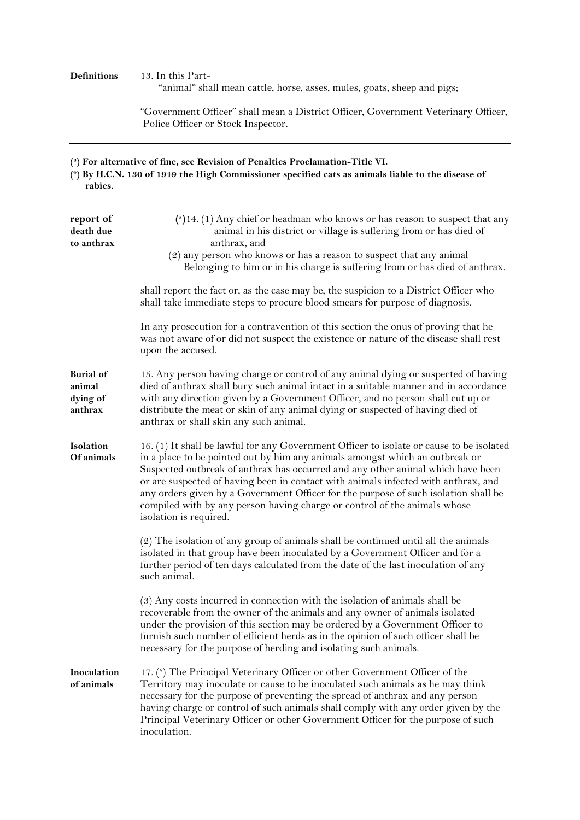# **Definitions** 13. In this Part-

 **"**animal**"** shall mean cattle, horse, asses, mules, goats, sheep and pigs;

"Government Officer" shall mean a District Officer, Government Veterinary Officer, Police Officer or Stock Inspector.

#### **( 3 ) For alternative of fine, see Revision of Penalties Proclamation-Title VI.**

**<sup>(</sup> 4 ) By H.C.N. 130 of 1949 the High Commissioner specified cats as animals liable to the disease of rabies.**

| report of<br>death due<br>to anthrax              | $(5)$ 14. (1) Any chief or headman who knows or has reason to suspect that any<br>animal in his district or village is suffering from or has died of<br>anthrax, and<br>(2) any person who knows or has a reason to suspect that any animal<br>Belonging to him or in his charge is suffering from or has died of anthrax.                                                                                                                                                                                                                      |
|---------------------------------------------------|-------------------------------------------------------------------------------------------------------------------------------------------------------------------------------------------------------------------------------------------------------------------------------------------------------------------------------------------------------------------------------------------------------------------------------------------------------------------------------------------------------------------------------------------------|
|                                                   | shall report the fact or, as the case may be, the suspicion to a District Officer who<br>shall take immediate steps to procure blood smears for purpose of diagnosis.                                                                                                                                                                                                                                                                                                                                                                           |
|                                                   | In any prosecution for a contravention of this section the onus of proving that he<br>was not aware of or did not suspect the existence or nature of the disease shall rest<br>upon the accused.                                                                                                                                                                                                                                                                                                                                                |
| <b>Burial of</b><br>animal<br>dying of<br>anthrax | 15. Any person having charge or control of any animal dying or suspected of having<br>died of anthrax shall bury such animal intact in a suitable manner and in accordance<br>with any direction given by a Government Officer, and no person shall cut up or<br>distribute the meat or skin of any animal dying or suspected of having died of<br>anthrax or shall skin any such animal.                                                                                                                                                       |
| Isolation<br>Of animals                           | 16. (1) It shall be lawful for any Government Officer to isolate or cause to be isolated<br>in a place to be pointed out by him any animals amongst which an outbreak or<br>Suspected outbreak of anthrax has occurred and any other animal which have been<br>or are suspected of having been in contact with animals infected with anthrax, and<br>any orders given by a Government Officer for the purpose of such isolation shall be<br>compiled with by any person having charge or control of the animals whose<br>isolation is required. |
|                                                   | (2) The isolation of any group of animals shall be continued until all the animals<br>isolated in that group have been inoculated by a Government Officer and for a<br>further period of ten days calculated from the date of the last inoculation of any<br>such animal.                                                                                                                                                                                                                                                                       |
|                                                   | (3) Any costs incurred in connection with the isolation of animals shall be<br>recoverable from the owner of the animals and any owner of animals isolated<br>under the provision of this section may be ordered by a Government Officer to<br>furnish such number of efficient herds as in the opinion of such officer shall be<br>necessary for the purpose of herding and isolating such animals.                                                                                                                                            |
| Inoculation<br>of animals                         | 17. (6) The Principal Veterinary Officer or other Government Officer of the<br>Territory may inoculate or cause to be inoculated such animals as he may think<br>necessary for the purpose of preventing the spread of anthrax and any person<br>having charge or control of such animals shall comply with any order given by the<br>Principal Veterinary Officer or other Government Officer for the purpose of such<br>inoculation.                                                                                                          |